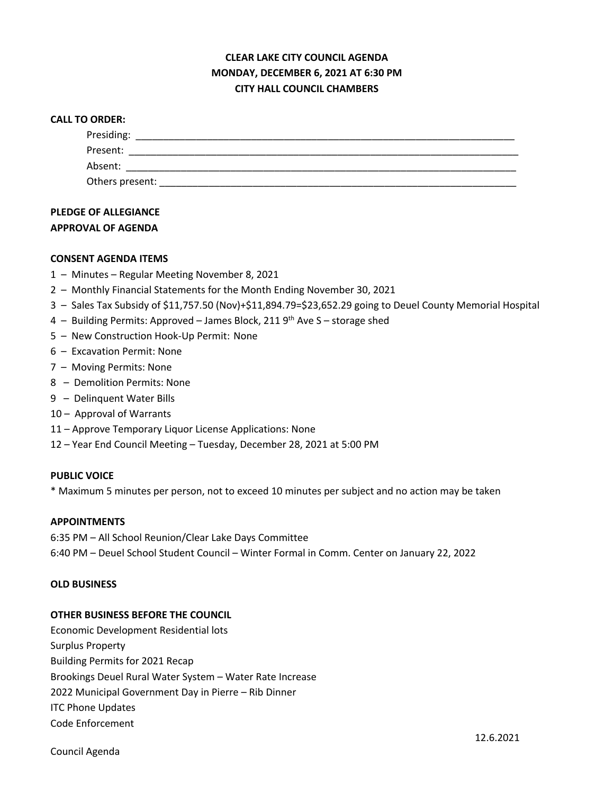# **CLEAR LAKE CITY COUNCIL AGENDA MONDAY, DECEMBER 6, 2021 AT 6:30 PM CITY HALL COUNCIL CHAMBERS**

#### **CALL TO ORDER:**

| Presiding:      |  |  |
|-----------------|--|--|
| Present:        |  |  |
| Absent:         |  |  |
| Others present: |  |  |

# **PLEDGE OF ALLEGIANCE APPROVAL OF AGENDA**

## **CONSENT AGENDA ITEMS**

- 1 Minutes Regular Meeting November 8, 2021
- 2 Monthly Financial Statements for the Month Ending November 30, 2021
- 3 Sales Tax Subsidy of \$11,757.50 (Nov)+\$11,894.79=\$23,652.29 going to Deuel County Memorial Hospital
- 4 Building Permits: Approved James Block, 211  $9<sup>th</sup>$  Ave S storage shed
- 5 New Construction Hook-Up Permit: None
- 6 Excavation Permit: None
- 7 Moving Permits: None
- 8 Demolition Permits: None
- 9 Delinquent Water Bills
- 10 Approval of Warrants
- 11 Approve Temporary Liquor License Applications: None
- 12 Year End Council Meeting Tuesday, December 28, 2021 at 5:00 PM

## **PUBLIC VOICE**

\* Maximum 5 minutes per person, not to exceed 10 minutes per subject and no action may be taken

#### **APPOINTMENTS**

6:35 PM – All School Reunion/Clear Lake Days Committee 6:40 PM – Deuel School Student Council – Winter Formal in Comm. Center on January 22, 2022

#### **OLD BUSINESS**

## **OTHER BUSINESS BEFORE THE COUNCIL**

Economic Development Residential lots Surplus Property Building Permits for 2021 Recap Brookings Deuel Rural Water System – Water Rate Increase 2022 Municipal Government Day in Pierre – Rib Dinner ITC Phone Updates Code Enforcement